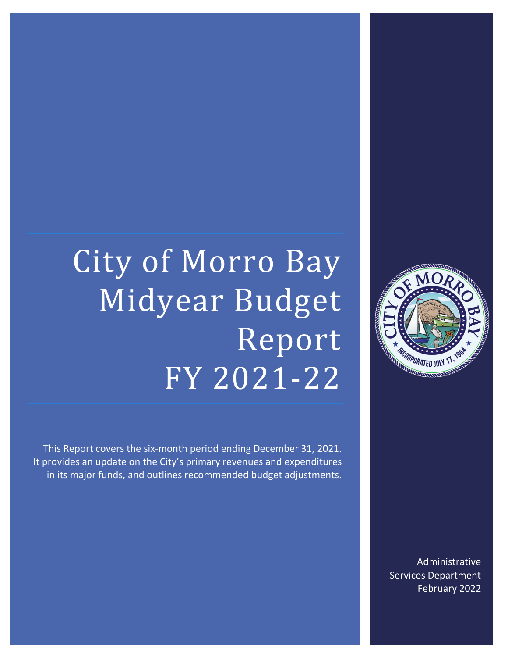# City of Morro Bay Midyear Budget Report FY 2021-22

This Report covers the six-month period ending December 31, 2021. It provides an update on the City's primary revenues and expenditures in its major funds, and outlines recommended budget adjustments.



Administrative Services Department February 2022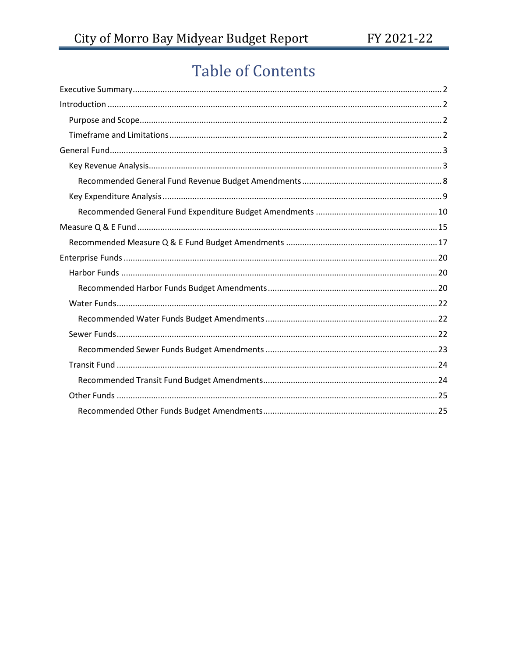# **Table of Contents**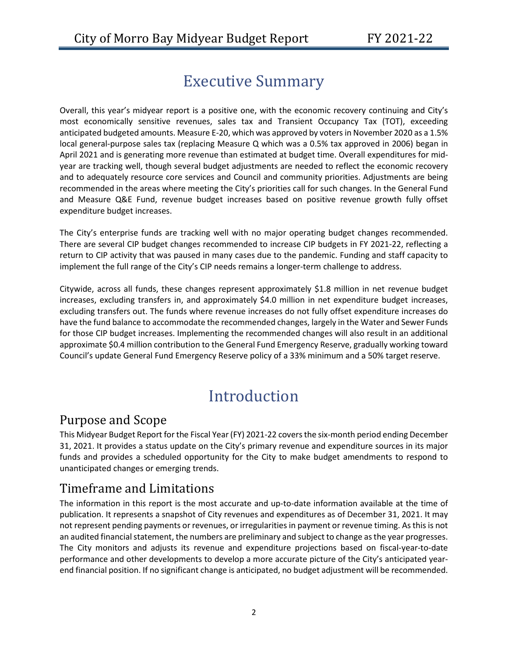# Executive Summary

<span id="page-2-0"></span>Overall, this year's midyear report is a positive one, with the economic recovery continuing and City's most economically sensitive revenues, sales tax and Transient Occupancy Tax (TOT), exceeding anticipated budgeted amounts. Measure E-20, which was approved by voters in November 2020 as a 1.5% local general-purpose sales tax (replacing Measure Q which was a 0.5% tax approved in 2006) began in April 2021 and is generating more revenue than estimated at budget time. Overall expenditures for midyear are tracking well, though several budget adjustments are needed to reflect the economic recovery and to adequately resource core services and Council and community priorities. Adjustments are being recommended in the areas where meeting the City's priorities call for such changes. In the General Fund and Measure Q&E Fund, revenue budget increases based on positive revenue growth fully offset expenditure budget increases.

The City's enterprise funds are tracking well with no major operating budget changes recommended. There are several CIP budget changes recommended to increase CIP budgets in FY 2021-22, reflecting a return to CIP activity that was paused in many cases due to the pandemic. Funding and staff capacity to implement the full range of the City's CIP needs remains a longer-term challenge to address.

Citywide, across all funds, these changes represent approximately \$1.8 million in net revenue budget increases, excluding transfers in, and approximately \$4.0 million in net expenditure budget increases, excluding transfers out. The funds where revenue increases do not fully offset expenditure increases do have the fund balance to accommodate the recommended changes, largely in the Water and Sewer Funds for those CIP budget increases. Implementing the recommended changes will also result in an additional approximate \$0.4 million contribution to the General Fund Emergency Reserve, gradually working toward Council's update General Fund Emergency Reserve policy of a 33% minimum and a 50% target reserve.

# Introduction

# <span id="page-2-2"></span><span id="page-2-1"></span>Purpose and Scope

This Midyear Budget Report for the Fiscal Year (FY) 2021-22 covers the six-month period ending December 31, 2021. It provides a status update on the City's primary revenue and expenditure sources in its major funds and provides a scheduled opportunity for the City to make budget amendments to respond to unanticipated changes or emerging trends.

# <span id="page-2-3"></span>Timeframe and Limitations

The information in this report is the most accurate and up-to-date information available at the time of publication. It represents a snapshot of City revenues and expenditures as of December 31, 2021. It may not represent pending payments or revenues, or irregularities in payment or revenue timing. As this is not an audited financial statement, the numbers are preliminary and subject to change as the year progresses. The City monitors and adjusts its revenue and expenditure projections based on fiscal-year-to-date performance and other developments to develop a more accurate picture of the City's anticipated yearend financial position. If no significant change is anticipated, no budget adjustment will be recommended.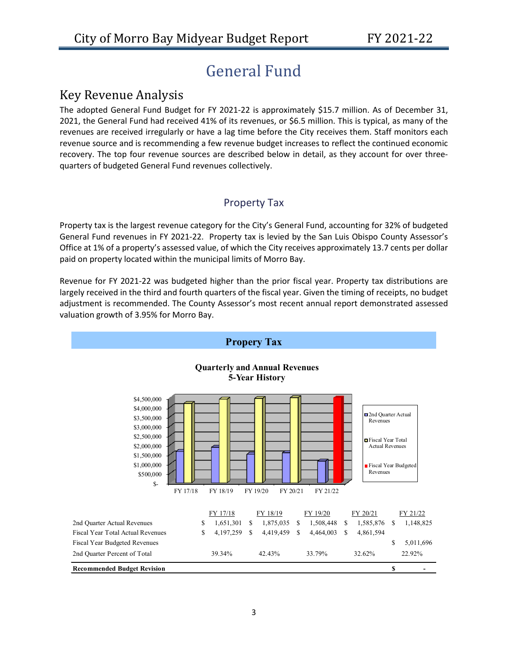# General Fund

### <span id="page-3-1"></span><span id="page-3-0"></span>Key Revenue Analysis

The adopted General Fund Budget for FY 2021-22 is approximately \$15.7 million. As of December 31, 2021, the General Fund had received 41% of its revenues, or \$6.5 million. This is typical, as many of the revenues are received irregularly or have a lag time before the City receives them. Staff monitors each revenue source and is recommending a few revenue budget increases to reflect the continued economic recovery. The top four revenue sources are described below in detail, as they account for over threequarters of budgeted General Fund revenues collectively.

#### Property Tax

Property tax is the largest revenue category for the City's General Fund, accounting for 32% of budgeted General Fund revenues in FY 2021-22. Property tax is levied by the San Luis Obispo County Assessor's Office at 1% of a property's assessed value, of which the City receives approximately 13.7 cents per dollar paid on property located within the municipal limits of Morro Bay.

Revenue for FY 2021-22 was budgeted higher than the prior fiscal year. Property tax distributions are largely received in the third and fourth quarters of the fiscal year. Given the timing of receipts, no budget adjustment is recommended. The County Assessor's most recent annual report demonstrated assessed valuation growth of 3.95% for Morro Bay.

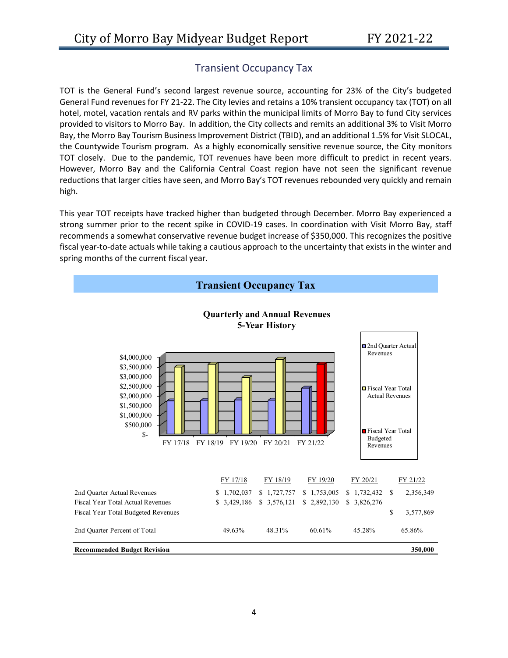#### Transient Occupancy Tax

TOT is the General Fund's second largest revenue source, accounting for 23% of the City's budgeted General Fund revenues for FY 21-22. The City levies and retains a 10% transient occupancy tax (TOT) on all hotel, motel, vacation rentals and RV parks within the municipal limits of Morro Bay to fund City services provided to visitors to Morro Bay. In addition, the City collects and remits an additional 3% to Visit Morro Bay, the Morro Bay Tourism Business Improvement District (TBID), and an additional 1.5% for Visit SLOCAL, the Countywide Tourism program. As a highly economically sensitive revenue source, the City monitors TOT closely. Due to the pandemic, TOT revenues have been more difficult to predict in recent years. However, Morro Bay and the California Central Coast region have not seen the significant revenue reductions that larger cities have seen, and Morro Bay's TOT revenues rebounded very quickly and remain high.

This year TOT receipts have tracked higher than budgeted through December. Morro Bay experienced a strong summer prior to the recent spike in COVID-19 cases. In coordination with Visit Morro Bay, staff recommends a somewhat conservative revenue budget increase of \$350,000. This recognizes the positive fiscal year-to-date actuals while taking a cautious approach to the uncertainty that exists in the winter and spring months of the current fiscal year.

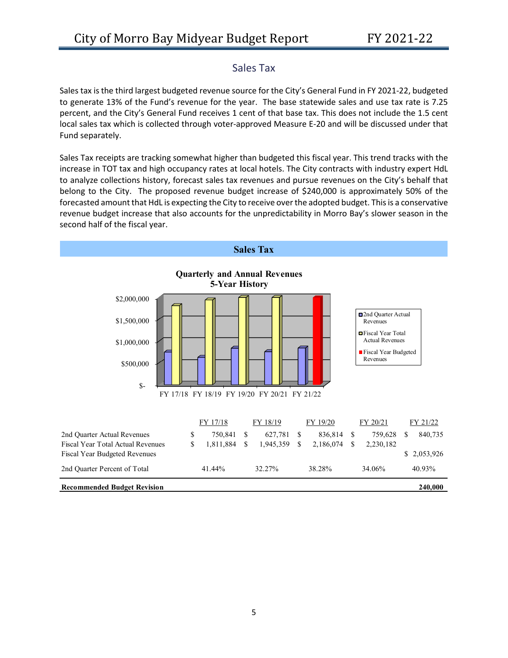#### Sales Tax

Sales tax is the third largest budgeted revenue source for the City's General Fund in FY 2021-22, budgeted to generate 13% of the Fund's revenue for the year. The base statewide sales and use tax rate is 7.25 percent, and the City's General Fund receives 1 cent of that base tax. This does not include the 1.5 cent local sales tax which is collected through voter-approved Measure E-20 and will be discussed under that Fund separately.

Sales Tax receipts are tracking somewhat higher than budgeted this fiscal year. This trend tracks with the increase in TOT tax and high occupancy rates at local hotels. The City contracts with industry expert HdL to analyze collections history, forecast sales tax revenues and pursue revenues on the City's behalf that belong to the City. The proposed revenue budget increase of \$240,000 is approximately 50% of the forecasted amount that HdL is expecting the City to receive over the adopted budget. This is a conservative revenue budget increase that also accounts for the unpredictability in Morro Bay's slower season in the second half of the fiscal year.

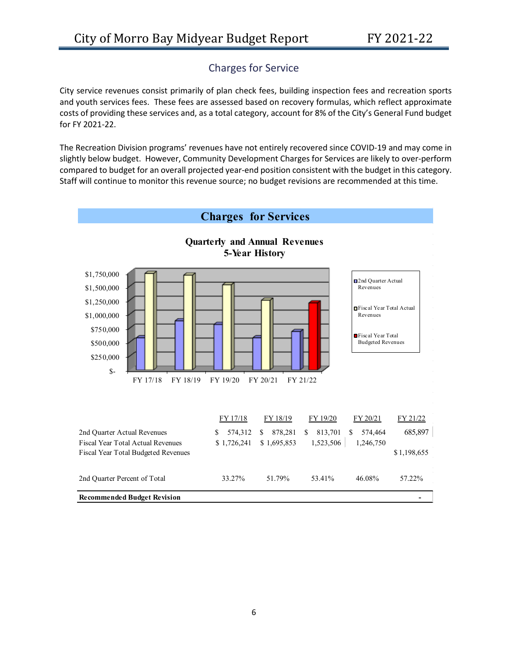### Charges for Service

City service revenues consist primarily of plan check fees, building inspection fees and recreation sports and youth services fees. These fees are assessed based on recovery formulas, which reflect approximate costs of providing these services and, as a total category, account for 8% of the City's General Fund budget for FY 2021-22.

The Recreation Division programs' revenues have not entirely recovered since COVID-19 and may come in slightly below budget. However, Community Development Charges for Services are likely to over-perform compared to budget for an overall projected year-end position consistent with the budget in this category. Staff will continue to monitor this revenue source; no budget revisions are recommended at this time.

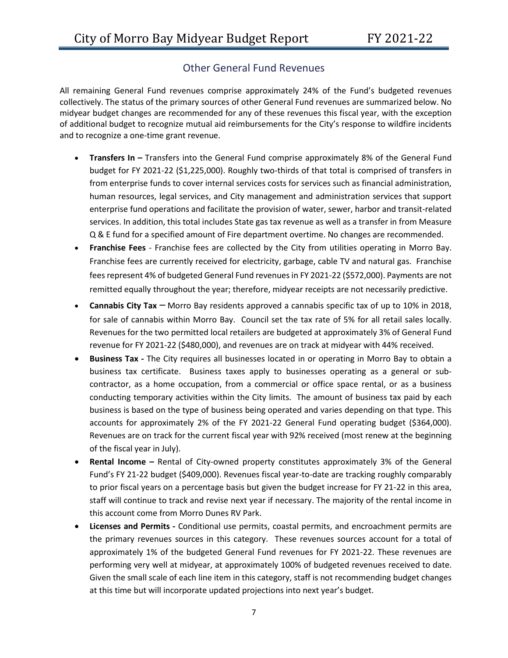#### Other General Fund Revenues

All remaining General Fund revenues comprise approximately 24% of the Fund's budgeted revenues collectively. The status of the primary sources of other General Fund revenues are summarized below. No midyear budget changes are recommended for any of these revenues this fiscal year, with the exception of additional budget to recognize mutual aid reimbursements for the City's response to wildfire incidents and to recognize a one-time grant revenue.

- **Transfers In –** Transfers into the General Fund comprise approximately 8% of the General Fund budget for FY 2021-22 (\$1,225,000). Roughly two-thirds of that total is comprised of transfers in from enterprise funds to cover internal services costs for services such as financial administration, human resources, legal services, and City management and administration services that support enterprise fund operations and facilitate the provision of water, sewer, harbor and transit-related services. In addition, this total includes State gas tax revenue as well as a transfer in from Measure Q & E fund for a specified amount of Fire department overtime. No changes are recommended.
- **Franchise Fees** *-* Franchise fees are collected by the City from utilities operating in Morro Bay. Franchise fees are currently received for electricity, garbage, cable TV and natural gas. Franchise fees represent 4% of budgeted General Fund revenues in FY 2021-22 (\$572,000). Payments are not remitted equally throughout the year; therefore, midyear receipts are not necessarily predictive.
- **Cannabis City Tax** *–* Morro Bay residents approved a cannabis specific tax of up to 10% in 2018, for sale of cannabis within Morro Bay. Council set the tax rate of 5% for all retail sales locally. Revenues for the two permitted local retailers are budgeted at approximately 3% of General Fund revenue for FY 2021-22 (\$480,000), and revenues are on track at midyear with 44% received.
- **Business Tax -** The City requires all businesses located in or operating in Morro Bay to obtain a business tax certificate. Business taxes apply to businesses operating as a general or subcontractor, as a home occupation, from a commercial or office space rental, or as a business conducting temporary activities within the City limits. The amount of business tax paid by each business is based on the type of business being operated and varies depending on that type. This accounts for approximately 2% of the FY 2021-22 General Fund operating budget (\$364,000). Revenues are on track for the current fiscal year with 92% received (most renew at the beginning of the fiscal year in July).
- **Rental Income –** Rental of City-owned property constitutes approximately 3% of the General Fund's FY 21-22 budget (\$409,000). Revenues fiscal year-to-date are tracking roughly comparably to prior fiscal years on a percentage basis but given the budget increase for FY 21-22 in this area, staff will continue to track and revise next year if necessary. The majority of the rental income in this account come from Morro Dunes RV Park.
- **Licenses and Permits -** Conditional use permits, coastal permits, and encroachment permits are the primary revenues sources in this category. These revenues sources account for a total of approximately 1% of the budgeted General Fund revenues for FY 2021-22. These revenues are performing very well at midyear, at approximately 100% of budgeted revenues received to date. Given the small scale of each line item in this category, staff is not recommending budget changes at this time but will incorporate updated projections into next year's budget.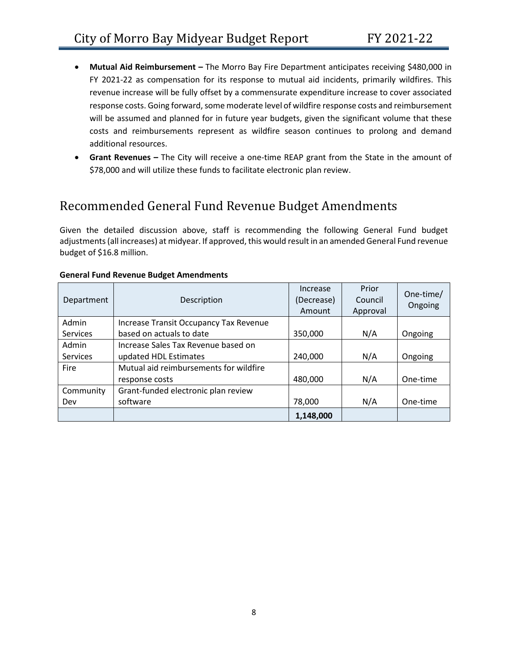- **Mutual Aid Reimbursement –** The Morro Bay Fire Department anticipates receiving \$480,000 in FY 2021-22 as compensation for its response to mutual aid incidents, primarily wildfires. This revenue increase will be fully offset by a commensurate expenditure increase to cover associated response costs. Going forward, some moderate level of wildfire response costs and reimbursement will be assumed and planned for in future year budgets, given the significant volume that these costs and reimbursements represent as wildfire season continues to prolong and demand additional resources.
- **Grant Revenues –** The City will receive a one-time REAP grant from the State in the amount of \$78,000 and will utilize these funds to facilitate electronic plan review.

# <span id="page-8-0"></span>Recommended General Fund Revenue Budget Amendments

Given the detailed discussion above, staff is recommending the following General Fund budget adjustments (all increases) at midyear. If approved, this would result in an amended General Fund revenue budget of \$16.8 million.

| Department      | Description                            | Increase<br>(Decrease)<br>Amount | Prior<br>Council<br>Approval | One-time/<br>Ongoing |
|-----------------|----------------------------------------|----------------------------------|------------------------------|----------------------|
| Admin           | Increase Transit Occupancy Tax Revenue |                                  |                              |                      |
| <b>Services</b> | based on actuals to date               | 350,000                          | N/A                          | Ongoing              |
| Admin           | Increase Sales Tax Revenue based on    |                                  |                              |                      |
| Services        | updated HDL Estimates                  | 240,000                          | N/A                          | Ongoing              |
| Fire            | Mutual aid reimbursements for wildfire |                                  |                              |                      |
|                 | response costs                         | 480,000                          | N/A                          | One-time             |
| Community       | Grant-funded electronic plan review    |                                  |                              |                      |
| Dev             | software                               | 78,000                           | N/A                          | One-time             |
|                 |                                        | 1,148,000                        |                              |                      |

#### **General Fund Revenue Budget Amendments**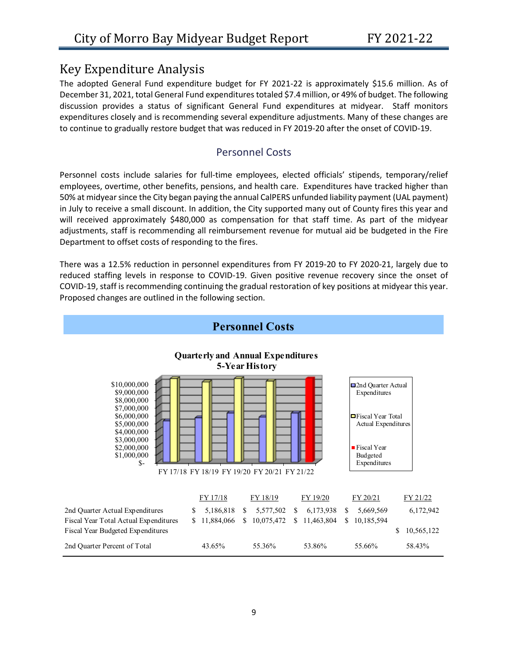### <span id="page-9-0"></span>Key Expenditure Analysis

The adopted General Fund expenditure budget for FY 2021-22 is approximately \$15.6 million. As of December 31, 2021, total General Fund expenditures totaled \$7.4 million, or 49% of budget. The following discussion provides a status of significant General Fund expenditures at midyear. Staff monitors expenditures closely and is recommending several expenditure adjustments. Many of these changes are to continue to gradually restore budget that was reduced in FY 2019-20 after the onset of COVID-19.

#### Personnel Costs

Personnel costs include salaries for full-time employees, elected officials' stipends, temporary/relief employees, overtime, other benefits, pensions, and health care. Expenditures have tracked higher than 50% at midyear since the City began paying the annual CalPERS unfunded liability payment (UAL payment) in July to receive a small discount. In addition, the City supported many out of County fires this year and will received approximately \$480,000 as compensation for that staff time. As part of the midyear adjustments, staff is recommending all reimbursement revenue for mutual aid be budgeted in the Fire Department to offset costs of responding to the fires.

There was a 12.5% reduction in personnel expenditures from FY 2019-20 to FY 2020-21, largely due to reduced staffing levels in response to COVID-19. Given positive revenue recovery since the onset of COVID-19, staff is recommending continuing the gradual restoration of key positions at midyear this year. Proposed changes are outlined in the following section.

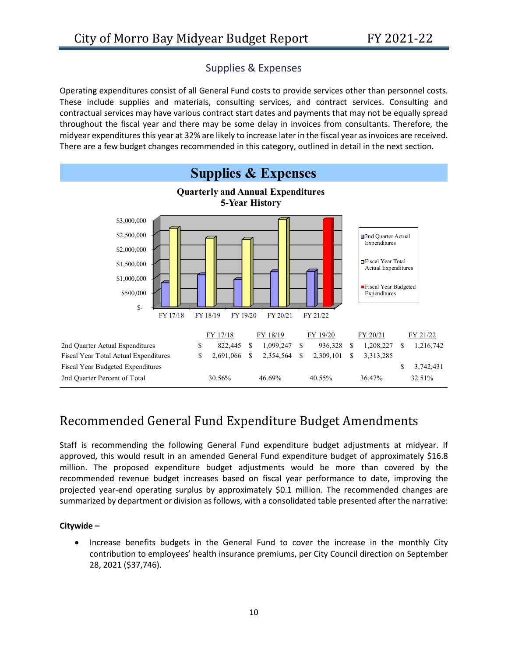#### Supplies & Expenses

Operating expenditures consist of all General Fund costs to provide services other than personnel costs. These include supplies and materials, consulting services, and contract services. Consulting and contractual services may have various contract start dates and payments that may not be equally spread throughout the fiscal year and there may be some delay in invoices from consultants. Therefore, the midyear expenditures this year at 32% are likely to increase later in the fiscal year as invoices are received. There are a few budget changes recommended in this category, outlined in detail in the next section.



# <span id="page-10-0"></span>Recommended General Fund Expenditure Budget Amendments

Staff is recommending the following General Fund expenditure budget adjustments at midyear. If approved, this would result in an amended General Fund expenditure budget of approximately \$16.8 million. The proposed expenditure budget adjustments would be more than covered by the recommended revenue budget increases based on fiscal year performance to date, improving the projected year-end operating surplus by approximately \$0.1 million. The recommended changes are summarized by department or division as follows, with a consolidated table presented after the narrative:

#### **Citywide –**

• Increase benefits budgets in the General Fund to cover the increase in the monthly City contribution to employees' health insurance premiums, per City Council direction on September 28, 2021 (\$37,746).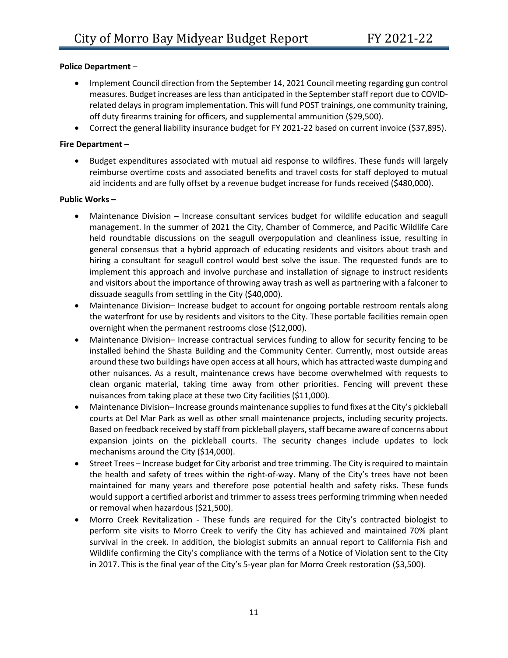#### **Police Department** –

- Implement Council direction from the September 14, 2021 Council meeting regarding gun control measures. Budget increases are less than anticipated in the September staff report due to COVIDrelated delays in program implementation. This will fund POST trainings, one community training, off duty firearms training for officers, and supplemental ammunition (\$29,500).
- Correct the general liability insurance budget for FY 2021-22 based on current invoice (\$37,895).

#### **Fire Department –**

• Budget expenditures associated with mutual aid response to wildfires. These funds will largely reimburse overtime costs and associated benefits and travel costs for staff deployed to mutual aid incidents and are fully offset by a revenue budget increase for funds received (\$480,000).

#### **Public Works –**

- Maintenance Division Increase consultant services budget for wildlife education and seagull management. In the summer of 2021 the City, Chamber of Commerce, and Pacific Wildlife Care held roundtable discussions on the seagull overpopulation and cleanliness issue, resulting in general consensus that a hybrid approach of educating residents and visitors about trash and hiring a consultant for seagull control would best solve the issue. The requested funds are to implement this approach and involve purchase and installation of signage to instruct residents and visitors about the importance of throwing away trash as well as partnering with a falconer to dissuade seagulls from settling in the City (\$40,000).
- Maintenance Division–Increase budget to account for ongoing portable restroom rentals along the waterfront for use by residents and visitors to the City. These portable facilities remain open overnight when the permanent restrooms close (\$12,000).
- Maintenance Division– Increase contractual services funding to allow for security fencing to be installed behind the Shasta Building and the Community Center. Currently, most outside areas around these two buildings have open access at all hours, which has attracted waste dumping and other nuisances. As a result, maintenance crews have become overwhelmed with requests to clean organic material, taking time away from other priorities. Fencing will prevent these nuisances from taking place at these two City facilities (\$11,000).
- Maintenance Division– Increase grounds maintenance supplies to fund fixes at the City's pickleball courts at Del Mar Park as well as other small maintenance projects, including security projects. Based on feedback received by staff from pickleball players, staff became aware of concerns about expansion joints on the pickleball courts. The security changes include updates to lock mechanisms around the City (\$14,000).
- Street Trees Increase budget for City arborist and tree trimming. The City is required to maintain the health and safety of trees within the right-of-way. Many of the City's trees have not been maintained for many years and therefore pose potential health and safety risks. These funds would support a certified arborist and trimmer to assess trees performing trimming when needed or removal when hazardous (\$21,500).
- Morro Creek Revitalization These funds are required for the City's contracted biologist to perform site visits to Morro Creek to verify the City has achieved and maintained 70% plant survival in the creek. In addition, the biologist submits an annual report to California Fish and Wildlife confirming the City's compliance with the terms of a Notice of Violation sent to the City in 2017. This is the final year of the City's 5-year plan for Morro Creek restoration (\$3,500).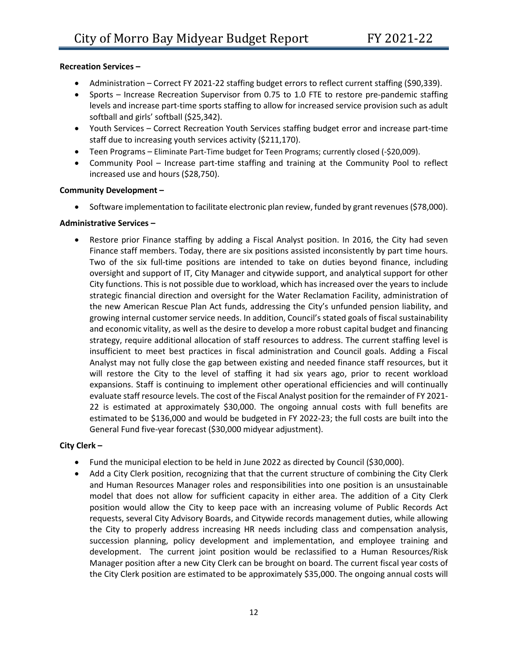#### **Recreation Services –**

- Administration Correct FY 2021-22 staffing budget errors to reflect current staffing (\$90,339).
- Sports Increase Recreation Supervisor from 0.75 to 1.0 FTE to restore pre-pandemic staffing levels and increase part-time sports staffing to allow for increased service provision such as adult softball and girls' softball (\$25,342).
- Youth Services Correct Recreation Youth Services staffing budget error and increase part-time staff due to increasing youth services activity (\$211,170).
- Teen Programs Eliminate Part-Time budget for Teen Programs; currently closed (-\$20,009).
- Community Pool Increase part-time staffing and training at the Community Pool to reflect increased use and hours (\$28,750).

#### **Community Development –**

• Software implementation to facilitate electronic plan review, funded by grant revenues (\$78,000).

#### **Administrative Services –**

Restore prior Finance staffing by adding a Fiscal Analyst position. In 2016, the City had seven Finance staff members. Today, there are six positions assisted inconsistently by part time hours. Two of the six full-time positions are intended to take on duties beyond finance, including oversight and support of IT, City Manager and citywide support, and analytical support for other City functions. This is not possible due to workload, which has increased over the years to include strategic financial direction and oversight for the Water Reclamation Facility, administration of the new American Rescue Plan Act funds, addressing the City's unfunded pension liability, and growing internal customer service needs. In addition, Council's stated goals of fiscal sustainability and economic vitality, as well as the desire to develop a more robust capital budget and financing strategy, require additional allocation of staff resources to address. The current staffing level is insufficient to meet best practices in fiscal administration and Council goals. Adding a Fiscal Analyst may not fully close the gap between existing and needed finance staff resources, but it will restore the City to the level of staffing it had six years ago, prior to recent workload expansions. Staff is continuing to implement other operational efficiencies and will continually evaluate staff resource levels. The cost of the Fiscal Analyst position for the remainder of FY 2021- 22 is estimated at approximately \$30,000. The ongoing annual costs with full benefits are estimated to be \$136,000 and would be budgeted in FY 2022-23; the full costs are built into the General Fund five-year forecast (\$30,000 midyear adjustment).

#### **City Clerk –**

- Fund the municipal election to be held in June 2022 as directed by Council (\$30,000).
- Add a City Clerk position, recognizing that that the current structure of combining the City Clerk and Human Resources Manager roles and responsibilities into one position is an unsustainable model that does not allow for sufficient capacity in either area. The addition of a City Clerk position would allow the City to keep pace with an increasing volume of Public Records Act requests, several City Advisory Boards, and Citywide records management duties, while allowing the City to properly address increasing HR needs including class and compensation analysis, succession planning, policy development and implementation, and employee training and development. The current joint position would be reclassified to a Human Resources/Risk Manager position after a new City Clerk can be brought on board. The current fiscal year costs of the City Clerk position are estimated to be approximately \$35,000. The ongoing annual costs will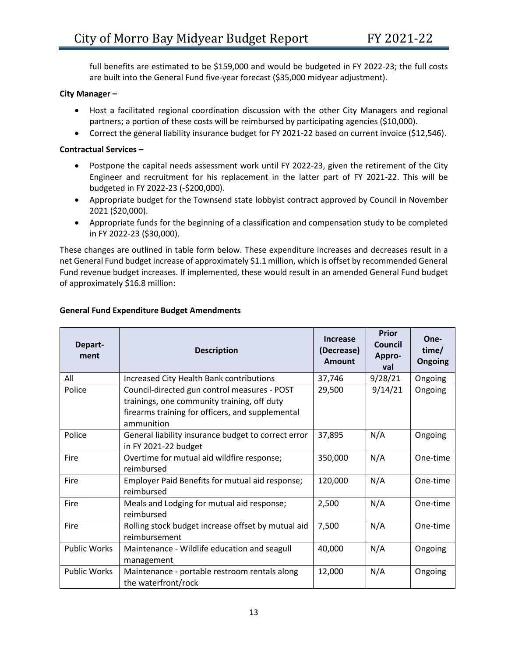full benefits are estimated to be \$159,000 and would be budgeted in FY 2022-23; the full costs are built into the General Fund five-year forecast (\$35,000 midyear adjustment).

#### **City Manager –**

- Host a facilitated regional coordination discussion with the other City Managers and regional partners; a portion of these costs will be reimbursed by participating agencies (\$10,000).
- Correct the general liability insurance budget for FY 2021-22 based on current invoice (\$12,546).

#### **Contractual Services –**

- Postpone the capital needs assessment work until FY 2022-23, given the retirement of the City Engineer and recruitment for his replacement in the latter part of FY 2021-22. This will be budgeted in FY 2022-23 (-\$200,000).
- Appropriate budget for the Townsend state lobbyist contract approved by Council in November 2021 (\$20,000).
- Appropriate funds for the beginning of a classification and compensation study to be completed in FY 2022-23 (\$30,000).

These changes are outlined in table form below. These expenditure increases and decreases result in a net General Fund budget increase of approximately \$1.1 million, which is offset by recommended General Fund revenue budget increases. If implemented, these would result in an amended General Fund budget of approximately \$16.8 million:

| Depart-<br>ment     | <b>Description</b>                                                                                                                                            | <b>Increase</b><br>(Decrease)<br><b>Amount</b> | Prior<br>Council<br>Appro-<br>val | One-<br>time/<br><b>Ongoing</b> |
|---------------------|---------------------------------------------------------------------------------------------------------------------------------------------------------------|------------------------------------------------|-----------------------------------|---------------------------------|
| All                 | Increased City Health Bank contributions                                                                                                                      | 37,746                                         | 9/28/21                           | Ongoing                         |
| Police              | Council-directed gun control measures - POST<br>trainings, one community training, off duty<br>firearms training for officers, and supplemental<br>ammunition | 29,500                                         | 9/14/21                           | Ongoing                         |
| Police              | General liability insurance budget to correct error<br>in FY 2021-22 budget                                                                                   | 37,895                                         | N/A                               | Ongoing                         |
| Fire                | Overtime for mutual aid wildfire response;<br>reimbursed                                                                                                      | 350,000                                        | N/A                               | One-time                        |
| Fire                | Employer Paid Benefits for mutual aid response;<br>reimbursed                                                                                                 | 120,000                                        | N/A                               | One-time                        |
| Fire                | Meals and Lodging for mutual aid response;<br>reimbursed                                                                                                      | 2,500                                          | N/A                               | One-time                        |
| Fire                | Rolling stock budget increase offset by mutual aid<br>reimbursement                                                                                           | 7,500                                          | N/A                               | One-time                        |
| <b>Public Works</b> | Maintenance - Wildlife education and seagull<br>management                                                                                                    | 40,000                                         | N/A                               | Ongoing                         |
| <b>Public Works</b> | Maintenance - portable restroom rentals along<br>the waterfront/rock                                                                                          | 12,000                                         | N/A                               | Ongoing                         |

#### **General Fund Expenditure Budget Amendments**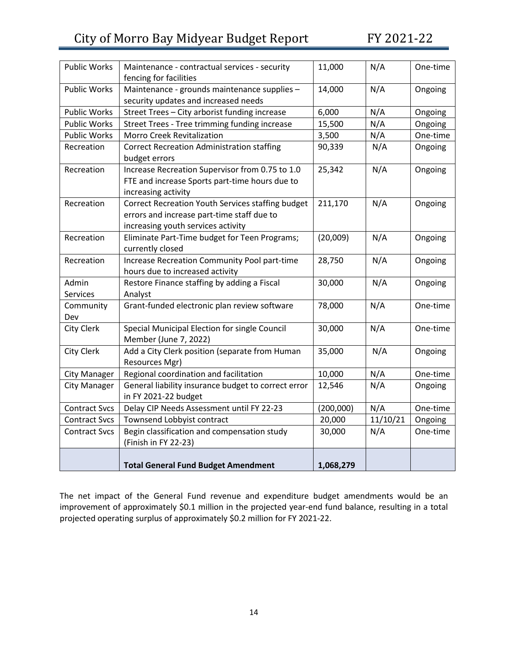| <b>Public Works</b>  | Maintenance - contractual services - security                    | 11,000    | N/A      | One-time |
|----------------------|------------------------------------------------------------------|-----------|----------|----------|
|                      | fencing for facilities                                           |           |          |          |
| <b>Public Works</b>  | Maintenance - grounds maintenance supplies -                     | 14,000    | N/A      | Ongoing  |
|                      | security updates and increased needs                             |           |          |          |
| <b>Public Works</b>  | Street Trees - City arborist funding increase                    | 6,000     | N/A      | Ongoing  |
| <b>Public Works</b>  | Street Trees - Tree trimming funding increase                    | 15,500    | N/A      | Ongoing  |
| <b>Public Works</b>  | <b>Morro Creek Revitalization</b>                                | 3,500     | N/A      | One-time |
| Recreation           | <b>Correct Recreation Administration staffing</b>                | 90,339    | N/A      | Ongoing  |
|                      | budget errors                                                    |           |          |          |
| Recreation           | Increase Recreation Supervisor from 0.75 to 1.0                  | 25,342    | N/A      | Ongoing  |
|                      | FTE and increase Sports part-time hours due to                   |           |          |          |
|                      | increasing activity                                              |           |          |          |
| Recreation           | Correct Recreation Youth Services staffing budget                | 211,170   | N/A      | Ongoing  |
|                      | errors and increase part-time staff due to                       |           |          |          |
|                      | increasing youth services activity                               |           |          |          |
| Recreation           | Eliminate Part-Time budget for Teen Programs;                    | (20,009)  | N/A      | Ongoing  |
| Recreation           | currently closed<br>Increase Recreation Community Pool part-time | 28,750    | N/A      |          |
|                      | hours due to increased activity                                  |           |          | Ongoing  |
| Admin                | Restore Finance staffing by adding a Fiscal                      | 30,000    | N/A      | Ongoing  |
| <b>Services</b>      | Analyst                                                          |           |          |          |
| Community            | Grant-funded electronic plan review software                     | 78,000    | N/A      | One-time |
| Dev                  |                                                                  |           |          |          |
| City Clerk           | Special Municipal Election for single Council                    | 30,000    | N/A      | One-time |
|                      | Member (June 7, 2022)                                            |           |          |          |
| City Clerk           | Add a City Clerk position (separate from Human                   | 35,000    | N/A      | Ongoing  |
|                      | Resources Mgr)                                                   |           |          |          |
| <b>City Manager</b>  | Regional coordination and facilitation                           | 10,000    | N/A      | One-time |
| <b>City Manager</b>  | General liability insurance budget to correct error              | 12,546    | N/A      | Ongoing  |
|                      | in FY 2021-22 budget                                             |           |          |          |
| <b>Contract Svcs</b> | Delay CIP Needs Assessment until FY 22-23                        | (200,000) | N/A      | One-time |
| <b>Contract Svcs</b> | Townsend Lobbyist contract                                       | 20,000    | 11/10/21 | Ongoing  |
| <b>Contract Svcs</b> | Begin classification and compensation study                      | 30,000    | N/A      | One-time |
|                      | (Finish in FY 22-23)                                             |           |          |          |
|                      |                                                                  |           |          |          |
|                      | <b>Total General Fund Budget Amendment</b>                       | 1,068,279 |          |          |

The net impact of the General Fund revenue and expenditure budget amendments would be an improvement of approximately \$0.1 million in the projected year-end fund balance, resulting in a total projected operating surplus of approximately \$0.2 million for FY 2021-22.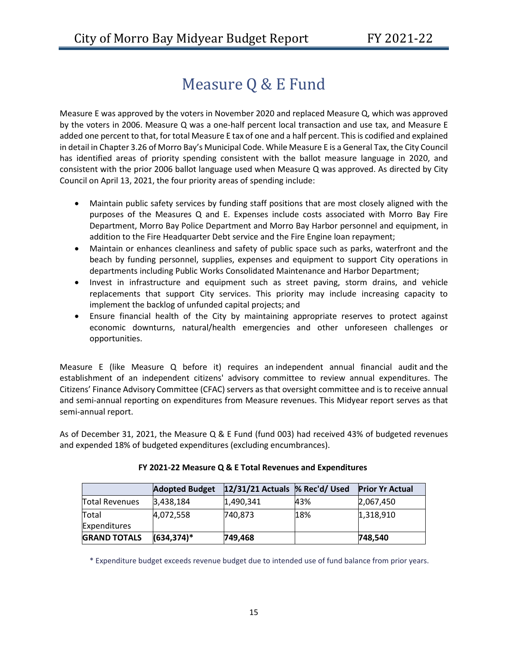# Measure Q & E Fund

<span id="page-15-0"></span>Measure E was approved by the voters in November 2020 and replaced Measure Q, which was approved by the voters in 2006. Measure Q was a one-half percent local transaction and use tax, and Measure E added one percent to that, for total Measure E tax of one and a half percent. This is codified and explained in detail in Chapter 3.26 [of Morro Bay's Municipal Code.](https://library.municode.com/ca/morro_bay/codes/code_of_ordinances?nodeId=TIT3REFI_CH3.26TRUSTA) While Measure E is a General Tax, the City Council has identified areas of priority spending consistent with the ballot measure language in 2020, and consistent with the prior 2006 ballot language used when Measure Q was approved. As directed by City Council on April 13, 2021, the four priority areas of spending include:

- Maintain public safety services by funding staff positions that are most closely aligned with the purposes of the Measures Q and E. Expenses include costs associated with Morro Bay Fire Department, Morro Bay Police Department and Morro Bay Harbor personnel and equipment, in addition to the Fire Headquarter Debt service and the Fire Engine loan repayment;
- Maintain or enhances cleanliness and safety of public space such as parks, waterfront and the beach by funding personnel, supplies, expenses and equipment to support City operations in departments including Public Works Consolidated Maintenance and Harbor Department;
- Invest in infrastructure and equipment such as street paving, storm drains, and vehicle replacements that support City services. This priority may include increasing capacity to implement the backlog of unfunded capital projects; and
- Ensure financial health of the City by maintaining appropriate reserves to protect against economic downturns, natural/health emergencies and other unforeseen challenges or opportunities.

Measure E (like Measure Q before it) requires an independent annual financial audit and the establishment of an independent citizens' advisory committee to review annual expenditures.  The Citizens' Finance Advisory Committee (CFAC) servers as that oversight committee and is to receive annual and semi-annual reporting on expenditures from Measure revenues. This Midyear report serves as that semi-annual report.

As of December 31, 2021, the Measure Q & E Fund (fund 003) had received 43% of budgeted revenues and expended 18% of budgeted expenditures (excluding encumbrances).

|                     | <b>Adopted Budget</b> | 12/31/21 Actuals % Rec'd/ Used |     | <b>Prior Yr Actual</b> |
|---------------------|-----------------------|--------------------------------|-----|------------------------|
| Total Revenues      | 3,438,184             | 1,490,341                      | 43% | 2,067,450              |
| <b>Total</b>        | 4,072,558             | 740,873                        | 18% | 1,318,910              |
| <b>Expenditures</b> |                       |                                |     |                        |
| <b>GRAND TOTALS</b> | $(634, 374)^*$        | 749,468                        |     | 748,540                |

#### **FY 2021-22 Measure Q & E Total Revenues and Expenditures**

\* Expenditure budget exceeds revenue budget due to intended use of fund balance from prior years.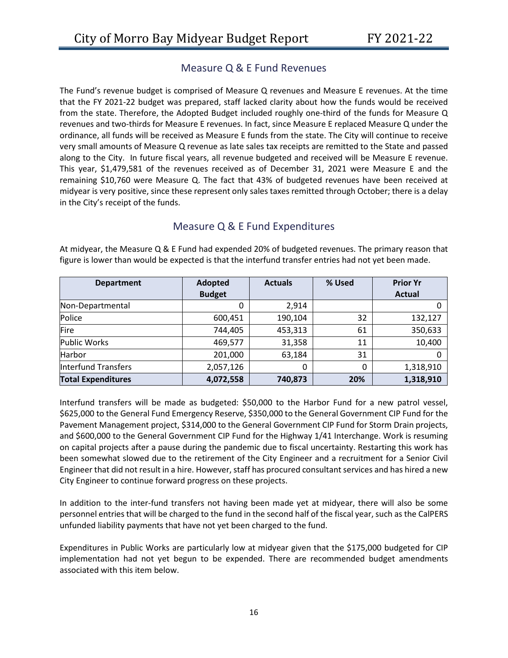#### Measure Q & E Fund Revenues

The Fund's revenue budget is comprised of Measure Q revenues and Measure E revenues. At the time that the FY 2021-22 budget was prepared, staff lacked clarity about how the funds would be received from the state. Therefore, the Adopted Budget included roughly one-third of the funds for Measure Q revenues and two-thirds for Measure E revenues. In fact, since Measure E replaced Measure Q under the ordinance, all funds will be received as Measure E funds from the state. The City will continue to receive very small amounts of Measure Q revenue as late sales tax receipts are remitted to the State and passed along to the City. In future fiscal years, all revenue budgeted and received will be Measure E revenue. This year, \$1,479,581 of the revenues received as of December 31, 2021 were Measure E and the remaining \$10,760 were Measure Q. The fact that 43% of budgeted revenues have been received at midyear is very positive, since these represent only sales taxes remitted through October; there is a delay in the City's receipt of the funds.

#### Measure Q & E Fund Expenditures

At midyear, the Measure Q & E Fund had expended 20% of budgeted revenues. The primary reason that figure is lower than would be expected is that the interfund transfer entries had not yet been made.

| <b>Department</b>         | Adopted       | <b>Actuals</b> | % Used | <b>Prior Yr</b> |
|---------------------------|---------------|----------------|--------|-----------------|
|                           | <b>Budget</b> |                |        | <b>Actual</b>   |
| Non-Departmental          |               | 2,914          |        |                 |
| Police                    | 600,451       | 190,104        | 32     | 132,127         |
| Fire                      | 744,405       | 453,313        | 61     | 350,633         |
| <b>Public Works</b>       | 469,577       | 31,358         | 11     | 10,400          |
| Harbor                    | 201,000       | 63,184         | 31     |                 |
| Interfund Transfers       | 2,057,126     | 0              | 0      | 1,318,910       |
| <b>Total Expenditures</b> | 4,072,558     | 740,873        | 20%    | 1,318,910       |

Interfund transfers will be made as budgeted: \$50,000 to the Harbor Fund for a new patrol vessel, \$625,000 to the General Fund Emergency Reserve, \$350,000 to the General Government CIP Fund for the Pavement Management project, \$314,000 to the General Government CIP Fund for Storm Drain projects, and \$600,000 to the General Government CIP Fund for the Highway 1/41 Interchange. Work is resuming on capital projects after a pause during the pandemic due to fiscal uncertainty. Restarting this work has been somewhat slowed due to the retirement of the City Engineer and a recruitment for a Senior Civil Engineer that did not result in a hire. However, staff has procured consultant services and has hired a new City Engineer to continue forward progress on these projects.

In addition to the inter-fund transfers not having been made yet at midyear, there will also be some personnel entries that will be charged to the fund in the second half of the fiscal year, such as the CalPERS unfunded liability payments that have not yet been charged to the fund.

Expenditures in Public Works are particularly low at midyear given that the \$175,000 budgeted for CIP implementation had not yet begun to be expended. There are recommended budget amendments associated with this item below.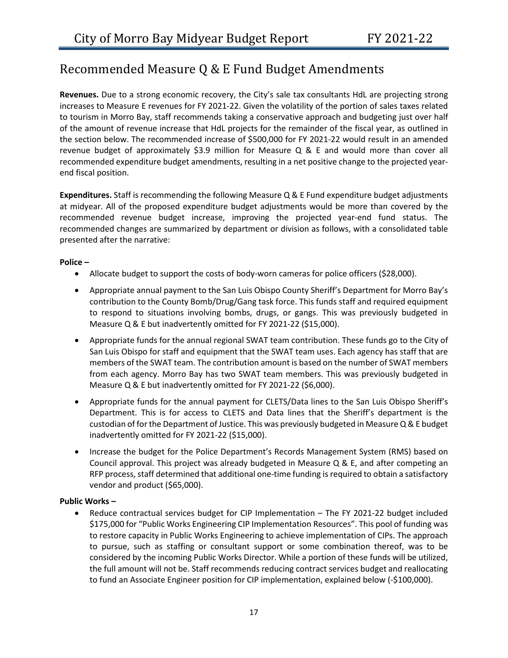# <span id="page-17-0"></span>Recommended Measure Q & E Fund Budget Amendments

**Revenues.** Due to a strong economic recovery, the City's sale tax consultants HdL are projecting strong increases to Measure E revenues for FY 2021-22. Given the volatility of the portion of sales taxes related to tourism in Morro Bay, staff recommends taking a conservative approach and budgeting just over half of the amount of revenue increase that HdL projects for the remainder of the fiscal year, as outlined in the section below. The recommended increase of \$500,000 for FY 2021-22 would result in an amended revenue budget of approximately \$3.9 million for Measure Q & E and would more than cover all recommended expenditure budget amendments, resulting in a net positive change to the projected yearend fiscal position.

**Expenditures.** Staff is recommending the following Measure Q & E Fund expenditure budget adjustments at midyear. All of the proposed expenditure budget adjustments would be more than covered by the recommended revenue budget increase, improving the projected year-end fund status. The recommended changes are summarized by department or division as follows, with a consolidated table presented after the narrative:

#### **Police –**

- Allocate budget to support the costs of body-worn cameras for police officers (\$28,000).
- Appropriate annual payment to the San Luis Obispo County Sheriff's Department for Morro Bay's contribution to the County Bomb/Drug/Gang task force. This funds staff and required equipment to respond to situations involving bombs, drugs, or gangs. This was previously budgeted in Measure Q & E but inadvertently omitted for FY 2021-22 (\$15,000).
- Appropriate funds for the annual regional SWAT team contribution. These funds go to the City of San Luis Obispo for staff and equipment that the SWAT team uses. Each agency has staff that are members of the SWAT team. The contribution amount is based on the number of SWAT members from each agency. Morro Bay has two SWAT team members. This was previously budgeted in Measure Q & E but inadvertently omitted for FY 2021-22 (\$6,000).
- Appropriate funds for the annual payment for CLETS/Data lines to the San Luis Obispo Sheriff's Department. This is for access to CLETS and Data lines that the Sheriff's department is the custodian of for the Department of Justice. This was previously budgeted in Measure Q & E budget inadvertently omitted for FY 2021-22 (\$15,000).
- Increase the budget for the Police Department's Records Management System (RMS) based on Council approval. This project was already budgeted in Measure Q & E, and after competing an RFP process, staff determined that additional one-time funding is required to obtain a satisfactory vendor and product (\$65,000).

#### **Public Works –**

• Reduce contractual services budget for CIP Implementation – The FY 2021-22 budget included \$175,000 for "Public Works Engineering CIP Implementation Resources". This pool of funding was to restore capacity in Public Works Engineering to achieve implementation of CIPs. The approach to pursue, such as staffing or consultant support or some combination thereof, was to be considered by the incoming Public Works Director. While a portion of these funds will be utilized, the full amount will not be. Staff recommends reducing contract services budget and reallocating to fund an Associate Engineer position for CIP implementation, explained below (-\$100,000).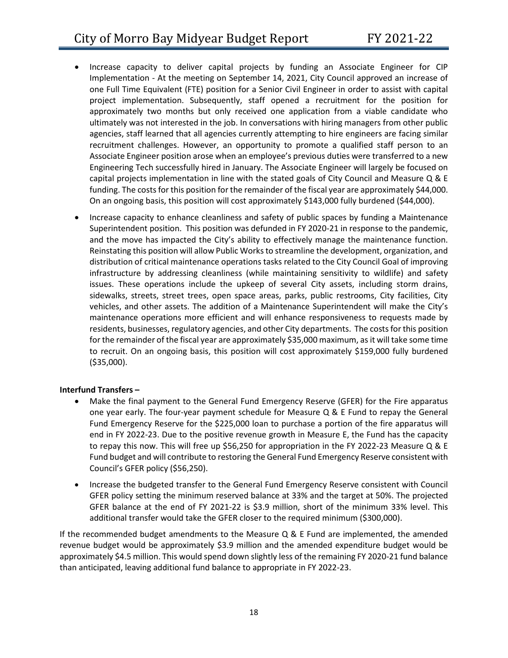- Increase capacity to deliver capital projects by funding an Associate Engineer for CIP Implementation - At the meeting on September 14, 2021, City Council approved an increase of one Full Time Equivalent (FTE) position for a Senior Civil Engineer in order to assist with capital project implementation. Subsequently, staff opened a recruitment for the position for approximately two months but only received one application from a viable candidate who ultimately was not interested in the job. In conversations with hiring managers from other public agencies, staff learned that all agencies currently attempting to hire engineers are facing similar recruitment challenges. However, an opportunity to promote a qualified staff person to an Associate Engineer position arose when an employee's previous duties were transferred to a new Engineering Tech successfully hired in January. The Associate Engineer will largely be focused on capital projects implementation in line with the stated goals of City Council and Measure Q & E funding. The costs for this position for the remainder of the fiscal year are approximately \$44,000. On an ongoing basis, this position will cost approximately \$143,000 fully burdened (\$44,000).
- Increase capacity to enhance cleanliness and safety of public spaces by funding a Maintenance Superintendent position. This position was defunded in FY 2020-21 in response to the pandemic, and the move has impacted the City's ability to effectively manage the maintenance function. Reinstating this position will allow Public Works to streamline the development, organization, and distribution of critical maintenance operations tasks related to the City Council Goal of improving infrastructure by addressing cleanliness (while maintaining sensitivity to wildlife) and safety issues. These operations include the upkeep of several City assets, including storm drains, sidewalks, streets, street trees, open space areas, parks, public restrooms, City facilities, City vehicles, and other assets. The addition of a Maintenance Superintendent will make the City's maintenance operations more efficient and will enhance responsiveness to requests made by residents, businesses, regulatory agencies, and other City departments. The costs for this position for the remainder of the fiscal year are approximately \$35,000 maximum, as it will take some time to recruit. On an ongoing basis, this position will cost approximately \$159,000 fully burdened (\$35,000).

#### **Interfund Transfers –**

- Make the final payment to the General Fund Emergency Reserve (GFER) for the Fire apparatus one year early. The four-year payment schedule for Measure Q & E Fund to repay the General Fund Emergency Reserve for the \$225,000 loan to purchase a portion of the fire apparatus will end in FY 2022-23. Due to the positive revenue growth in Measure E, the Fund has the capacity to repay this now. This will free up \$56,250 for appropriation in the FY 2022-23 Measure Q & E Fund budget and will contribute to restoring the General Fund Emergency Reserve consistent with Council's GFER policy (\$56,250).
- Increase the budgeted transfer to the General Fund Emergency Reserve consistent with Council GFER policy setting the minimum reserved balance at 33% and the target at 50%. The projected GFER balance at the end of FY 2021-22 is \$3.9 million, short of the minimum 33% level. This additional transfer would take the GFER closer to the required minimum (\$300,000).

If the recommended budget amendments to the Measure  $Q \& E$  Fund are implemented, the amended revenue budget would be approximately \$3.9 million and the amended expenditure budget would be approximately \$4.5 million. This would spend down slightly less of the remaining FY 2020-21 fund balance than anticipated, leaving additional fund balance to appropriate in FY 2022-23.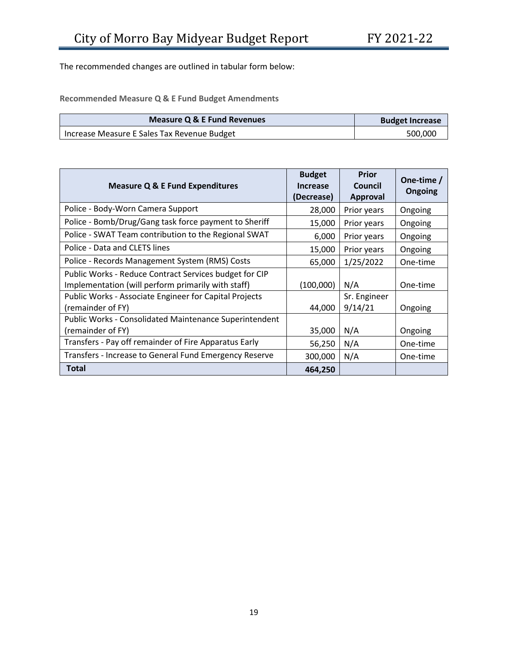The recommended changes are outlined in tabular form below:

**Recommended Measure Q & E Fund Budget Amendments**

| Measure Q & E Fund Revenues                 | <b>Budget Increase</b> |
|---------------------------------------------|------------------------|
| Increase Measure E Sales Tax Revenue Budget | 500,000                |

| <b>Measure Q &amp; E Fund Expenditures</b>                                                                   | <b>Budget</b><br><b>Increase</b><br>(Decrease) | <b>Prior</b><br>Council<br><b>Approval</b> | One-time /<br><b>Ongoing</b> |
|--------------------------------------------------------------------------------------------------------------|------------------------------------------------|--------------------------------------------|------------------------------|
| Police - Body-Worn Camera Support                                                                            | 28,000                                         | Prior years                                | Ongoing                      |
| Police - Bomb/Drug/Gang task force payment to Sheriff                                                        | 15,000                                         | Prior years                                | Ongoing                      |
| Police - SWAT Team contribution to the Regional SWAT                                                         | 6,000                                          | Prior years                                | Ongoing                      |
| Police - Data and CLETS lines                                                                                | 15,000                                         | Prior years                                | Ongoing                      |
| Police - Records Management System (RMS) Costs                                                               | 65,000                                         | 1/25/2022                                  | One-time                     |
| Public Works - Reduce Contract Services budget for CIP<br>Implementation (will perform primarily with staff) | (100,000)                                      | N/A                                        | One-time                     |
| Public Works - Associate Engineer for Capital Projects<br>(remainder of FY)                                  | 44,000                                         | Sr. Engineer<br>9/14/21                    | Ongoing                      |
| <b>Public Works - Consolidated Maintenance Superintendent</b><br>(remainder of FY)                           | 35,000                                         | N/A                                        | Ongoing                      |
| Transfers - Pay off remainder of Fire Apparatus Early                                                        | 56,250                                         | N/A                                        | One-time                     |
| Transfers - Increase to General Fund Emergency Reserve                                                       | 300,000                                        | N/A                                        | One-time                     |
| <b>Total</b>                                                                                                 | 464,250                                        |                                            |                              |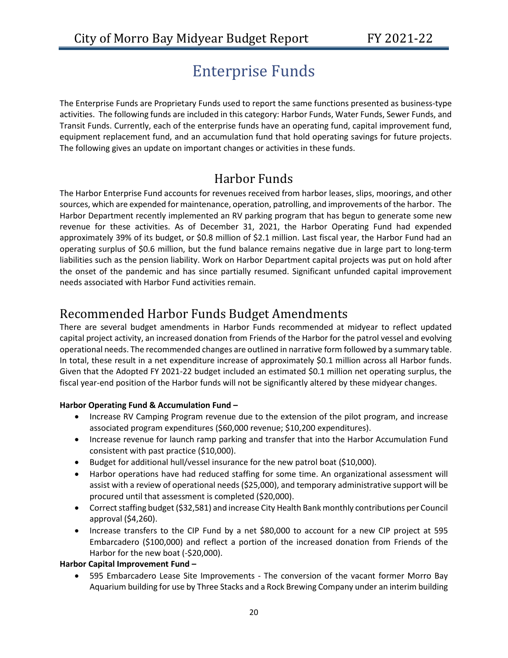# Enterprise Funds

<span id="page-20-0"></span>The Enterprise Funds are Proprietary Funds used to report the same functions presented as business-type activities. The following funds are included in this category: Harbor Funds, Water Funds, Sewer Funds, and Transit Funds. Currently, each of the enterprise funds have an operating fund, capital improvement fund, equipment replacement fund, and an accumulation fund that hold operating savings for future projects. The following gives an update on important changes or activities in these funds.

# Harbor Funds

<span id="page-20-1"></span>The Harbor Enterprise Fund accounts for revenues received from harbor leases, slips, moorings, and other sources, which are expended for maintenance, operation, patrolling, and improvements of the harbor. The Harbor Department recently implemented an RV parking program that has begun to generate some new revenue for these activities. As of December 31, 2021, the Harbor Operating Fund had expended approximately 39% of its budget, or \$0.8 million of \$2.1 million. Last fiscal year, the Harbor Fund had an operating surplus of \$0.6 million, but the fund balance remains negative due in large part to long-term liabilities such as the pension liability. Work on Harbor Department capital projects was put on hold after the onset of the pandemic and has since partially resumed. Significant unfunded capital improvement needs associated with Harbor Fund activities remain.

# <span id="page-20-2"></span>Recommended Harbor Funds Budget Amendments

There are several budget amendments in Harbor Funds recommended at midyear to reflect updated capital project activity, an increased donation from Friends of the Harbor for the patrol vessel and evolving operational needs. The recommended changes are outlined in narrative form followed by a summary table. In total, these result in a net expenditure increase of approximately \$0.1 million across all Harbor funds. Given that the Adopted FY 2021-22 budget included an estimated \$0.1 million net operating surplus, the fiscal year-end position of the Harbor funds will not be significantly altered by these midyear changes.

#### **Harbor Operating Fund & Accumulation Fund –**

- Increase RV Camping Program revenue due to the extension of the pilot program, and increase associated program expenditures (\$60,000 revenue; \$10,200 expenditures).
- Increase revenue for launch ramp parking and transfer that into the Harbor Accumulation Fund consistent with past practice (\$10,000).
- Budget for additional hull/vessel insurance for the new patrol boat (\$10,000).
- Harbor operations have had reduced staffing for some time. An organizational assessment will assist with a review of operational needs (\$25,000), and temporary administrative support will be procured until that assessment is completed (\$20,000).
- Correct staffing budget (\$32,581) and increase City Health Bank monthly contributions per Council approval (\$4,260).
- Increase transfers to the CIP Fund by a net \$80,000 to account for a new CIP project at 595 Embarcadero (\$100,000) and reflect a portion of the increased donation from Friends of the Harbor for the new boat (-\$20,000).

#### **Harbor Capital Improvement Fund –**

• 595 Embarcadero Lease Site Improvements - The conversion of the vacant former Morro Bay Aquarium building for use by Three Stacks and a Rock Brewing Company under an interim building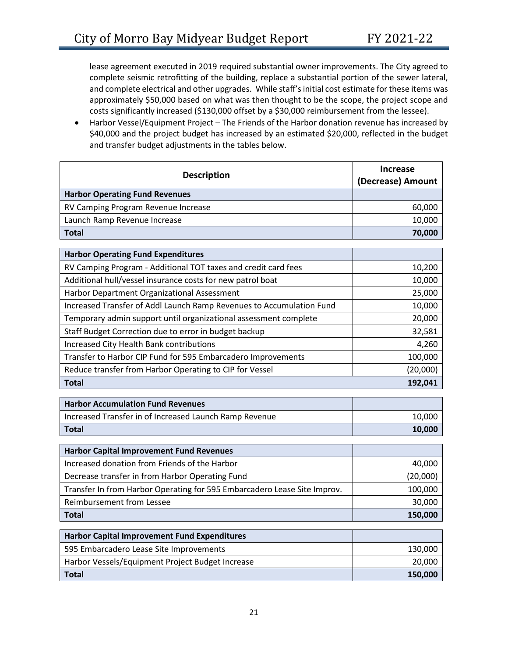lease agreement executed in 2019 required substantial owner improvements. The City agreed to complete seismic retrofitting of the building, replace a substantial portion of the sewer lateral, and complete electrical and other upgrades. While staff's initial cost estimate for these items was approximately \$50,000 based on what was then thought to be the scope, the project scope and costs significantly increased (\$130,000 offset by a \$30,000 reimbursement from the lessee).

• Harbor Vessel/Equipment Project – The Friends of the Harbor donation revenue has increased by \$40,000 and the project budget has increased by an estimated \$20,000, reflected in the budget and transfer budget adjustments in the tables below.

| <b>Description</b>                                                       | <b>Increase</b><br>(Decrease) Amount |
|--------------------------------------------------------------------------|--------------------------------------|
| <b>Harbor Operating Fund Revenues</b>                                    |                                      |
| RV Camping Program Revenue Increase                                      | 60,000                               |
| Launch Ramp Revenue Increase                                             | 10,000                               |
| <b>Total</b>                                                             | 70,000                               |
| <b>Harbor Operating Fund Expenditures</b>                                |                                      |
| RV Camping Program - Additional TOT taxes and credit card fees           | 10,200                               |
| Additional hull/vessel insurance costs for new patrol boat               | 10,000                               |
| Harbor Department Organizational Assessment                              | 25,000                               |
| Increased Transfer of Addl Launch Ramp Revenues to Accumulation Fund     | 10,000                               |
| Temporary admin support until organizational assessment complete         | 20,000                               |
| Staff Budget Correction due to error in budget backup                    | 32,581                               |
| Increased City Health Bank contributions                                 | 4,260                                |
| Transfer to Harbor CIP Fund for 595 Embarcadero Improvements             | 100,000                              |
| Reduce transfer from Harbor Operating to CIP for Vessel                  | (20,000)                             |
|                                                                          |                                      |
| <b>Total</b>                                                             | 192,041                              |
| <b>Harbor Accumulation Fund Revenues</b>                                 |                                      |
| Increased Transfer in of Increased Launch Ramp Revenue                   | 10,000                               |
| <b>Total</b>                                                             | 10,000                               |
|                                                                          |                                      |
| <b>Harbor Capital Improvement Fund Revenues</b>                          |                                      |
| Increased donation from Friends of the Harbor                            | 40,000                               |
| Decrease transfer in from Harbor Operating Fund                          | (20,000)                             |
| Transfer In from Harbor Operating for 595 Embarcadero Lease Site Improv. | 100,000                              |
| <b>Reimbursement from Lessee</b>                                         | 30,000                               |
| <b>Total</b>                                                             | 150,000                              |
| <b>Harbor Capital Improvement Fund Expenditures</b>                      |                                      |
| 595 Embarcadero Lease Site Improvements                                  | 130,000                              |
| Harbor Vessels/Equipment Project Budget Increase                         | 20,000                               |
| <b>Total</b>                                                             | 150,000                              |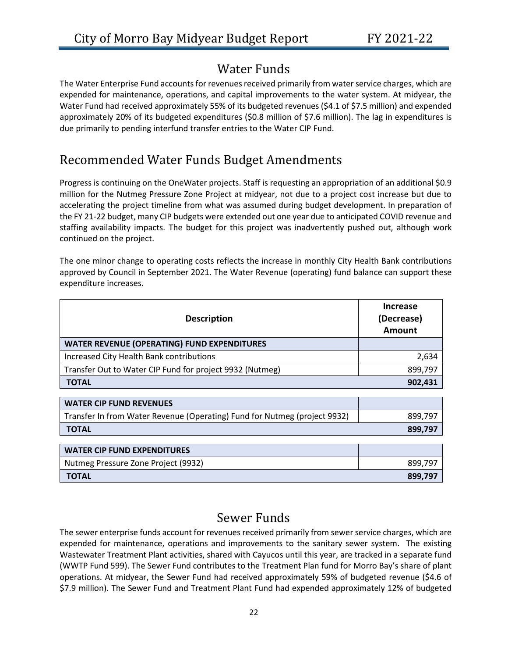# Water Funds

<span id="page-22-0"></span>The Water Enterprise Fund accounts for revenues received primarily from water service charges, which are expended for maintenance, operations, and capital improvements to the water system. At midyear, the Water Fund had received approximately 55% of its budgeted revenues (\$4.1 of \$7.5 million) and expended approximately 20% of its budgeted expenditures (\$0.8 million of \$7.6 million). The lag in expenditures is due primarily to pending interfund transfer entries to the Water CIP Fund.

# <span id="page-22-1"></span>Recommended Water Funds Budget Amendments

Progress is continuing on the OneWater projects. Staff is requesting an appropriation of an additional \$0.9 million for the Nutmeg Pressure Zone Project at midyear, not due to a project cost increase but due to accelerating the project timeline from what was assumed during budget development. In preparation of the FY 21-22 budget, many CIP budgets were extended out one year due to anticipated COVID revenue and staffing availability impacts. The budget for this project was inadvertently pushed out, although work continued on the project.

The one minor change to operating costs reflects the increase in monthly City Health Bank contributions approved by Council in September 2021. The Water Revenue (operating) fund balance can support these expenditure increases.

| <b>Description</b>                                       | Increase<br>(Decrease)<br>Amount |
|----------------------------------------------------------|----------------------------------|
| <b>WATER REVENUE (OPERATING) FUND EXPENDITURES</b>       |                                  |
| Increased City Health Bank contributions                 | 2,634                            |
| Transfer Out to Water CIP Fund for project 9932 (Nutmeg) | 899,797                          |
| <b>TOTAL</b>                                             | 902,431                          |
|                                                          |                                  |
| <b>WATER CIP FUND REVENUES</b>                           |                                  |

| **/ \ ! LI\ \!! ! \ VI\D !\L \ LI\ \ LJ                                   |         |
|---------------------------------------------------------------------------|---------|
| Transfer In from Water Revenue (Operating) Fund for Nutmeg (project 9932) | 899,797 |
| <b>TOTAL</b>                                                              | 899.797 |
|                                                                           |         |

| <b>WATER CIP FUND EXPENDITURES</b>  |         |
|-------------------------------------|---------|
| Nutmeg Pressure Zone Project (9932) | 899.797 |
| <b>TOTAL</b>                        | 899,797 |

# Sewer Funds

<span id="page-22-2"></span>The sewer enterprise funds account for revenues received primarily from sewer service charges, which are expended for maintenance, operations and improvements to the sanitary sewer system. The existing Wastewater Treatment Plant activities, shared with Cayucos until this year, are tracked in a separate fund (WWTP Fund 599). The Sewer Fund contributes to the Treatment Plan fund for Morro Bay's share of plant operations. At midyear, the Sewer Fund had received approximately 59% of budgeted revenue (\$4.6 of \$7.9 million). The Sewer Fund and Treatment Plant Fund had expended approximately 12% of budgeted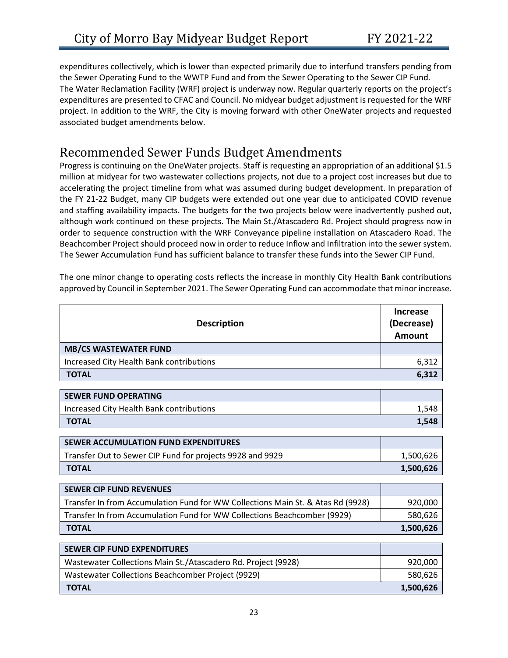expenditures collectively, which is lower than expected primarily due to interfund transfers pending from the Sewer Operating Fund to the WWTP Fund and from the Sewer Operating to the Sewer CIP Fund. The Water Reclamation Facility (WRF) project is underway now. Regular quarterly reports on the project's expenditures are presented to CFAC and Council. No midyear budget adjustment is requested for the WRF project. In addition to the WRF, the City is moving forward with other OneWater projects and requested associated budget amendments below.

### <span id="page-23-0"></span>Recommended Sewer Funds Budget Amendments

Progress is continuing on the OneWater projects. Staff is requesting an appropriation of an additional \$1.5 million at midyear for two wastewater collections projects, not due to a project cost increases but due to accelerating the project timeline from what was assumed during budget development. In preparation of the FY 21-22 Budget, many CIP budgets were extended out one year due to anticipated COVID revenue and staffing availability impacts. The budgets for the two projects below were inadvertently pushed out, although work continued on these projects. The Main St./Atascadero Rd. Project should progress now in order to sequence construction with the WRF Conveyance pipeline installation on Atascadero Road. The Beachcomber Project should proceed now in order to reduce Inflow and Infiltration into the sewer system. The Sewer Accumulation Fund has sufficient balance to transfer these funds into the Sewer CIP Fund.

The one minor change to operating costs reflects the increase in monthly City Health Bank contributions approved by Council in September 2021. The Sewer Operating Fund can accommodate that minor increase.

| <b>Description</b>                                                              | <b>Increase</b><br>(Decrease)<br>Amount |
|---------------------------------------------------------------------------------|-----------------------------------------|
| <b>MB/CS WASTEWATER FUND</b>                                                    |                                         |
| Increased City Health Bank contributions                                        | 6,312                                   |
| <b>TOTAL</b>                                                                    | 6,312                                   |
| <b>SEWER FUND OPERATING</b>                                                     |                                         |
| Increased City Health Bank contributions                                        | 1,548                                   |
| <b>TOTAL</b>                                                                    | 1,548                                   |
| <b>SEWER ACCUMULATION FUND EXPENDITURES</b>                                     |                                         |
|                                                                                 |                                         |
| Transfer Out to Sewer CIP Fund for projects 9928 and 9929                       | 1,500,626                               |
| <b>TOTAL</b>                                                                    | 1,500,626                               |
| <b>SEWER CIP FUND REVENUES</b>                                                  |                                         |
| Transfer In from Accumulation Fund for WW Collections Main St. & Atas Rd (9928) | 920,000                                 |
| Transfer In from Accumulation Fund for WW Collections Beachcomber (9929)        | 580,626                                 |
| <b>TOTAL</b>                                                                    | 1,500,626                               |
| <b>SEWER CIP FUND EXPENDITURES</b>                                              |                                         |
| Wastewater Collections Main St./Atascadero Rd. Project (9928)                   | 920,000                                 |
| Wastewater Collections Beachcomber Project (9929)                               | 580,626                                 |
| <b>TOTAL</b>                                                                    | 1,500,626                               |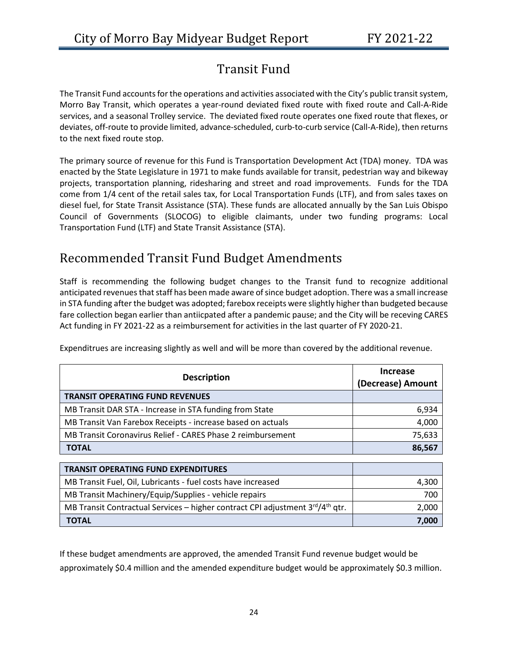# Transit Fund

<span id="page-24-0"></span>The Transit Fund accounts for the operations and activities associated with the City's public transit system, Morro Bay Transit, which operates a year-round deviated fixed route with fixed route and Call-A-Ride services, and a seasonal Trolley service. The deviated fixed route operates one fixed route that flexes, or deviates, off-route to provide limited, advance-scheduled, curb-to-curb service (Call-A-Ride), then returns to the next fixed route stop.

The primary source of revenue for this Fund is Transportation Development Act (TDA) money. TDA was enacted by the State Legislature in 1971 to make funds available for transit, pedestrian way and bikeway projects, transportation planning, ridesharing and street and road improvements. Funds for the TDA come from 1/4 cent of the retail sales tax, for Local Transportation Funds (LTF), and from sales taxes on diesel fuel, for State Transit Assistance (STA). These funds are allocated annually by the San Luis Obispo Council of Governments (SLOCOG) to eligible claimants, under two funding programs: Local Transportation Fund (LTF) and State Transit Assistance (STA).

# <span id="page-24-1"></span>Recommended Transit Fund Budget Amendments

Staff is recommending the following budget changes to the Transit fund to recognize additional anticipated revenues that staff has been made aware of since budget adoption. There was a small increase in STA funding after the budget was adopted; farebox receipts were slightly higher than budgeted because fare collection began earlier than antiicpated after a pandemic pause; and the City will be receving CARES Act funding in FY 2021-22 as a reimbursement for activities in the last quarter of FY 2020-21.

| <b>Description</b>                                          | <b>Increase</b><br>(Decrease) Amount |
|-------------------------------------------------------------|--------------------------------------|
| <b>TRANSIT OPERATING FUND REVENUES</b>                      |                                      |
| MB Transit DAR STA - Increase in STA funding from State     | 6,934                                |
| MB Transit Van Farebox Receipts - increase based on actuals | 4,000                                |
| MB Transit Coronavirus Relief - CARES Phase 2 reimbursement | 75,633                               |
| <b>TOTAL</b>                                                | 86,567                               |

Expenditrues are increasing slightly as well and will be more than covered by the additional revenue.

| <b>TRANSIT OPERATING FUND EXPENDITURES</b>                                                |       |
|-------------------------------------------------------------------------------------------|-------|
| MB Transit Fuel, Oil, Lubricants - fuel costs have increased                              | 4,300 |
| MB Transit Machinery/Equip/Supplies - vehicle repairs                                     | 700   |
| MB Transit Contractual Services - higher contract CPI adjustment 3rd/4 <sup>th</sup> qtr. | 2,000 |
| <b>TOTAL</b>                                                                              | 7,000 |

If these budget amendments are approved, the amended Transit Fund revenue budget would be approximately \$0.4 million and the amended expenditure budget would be approximately \$0.3 million.